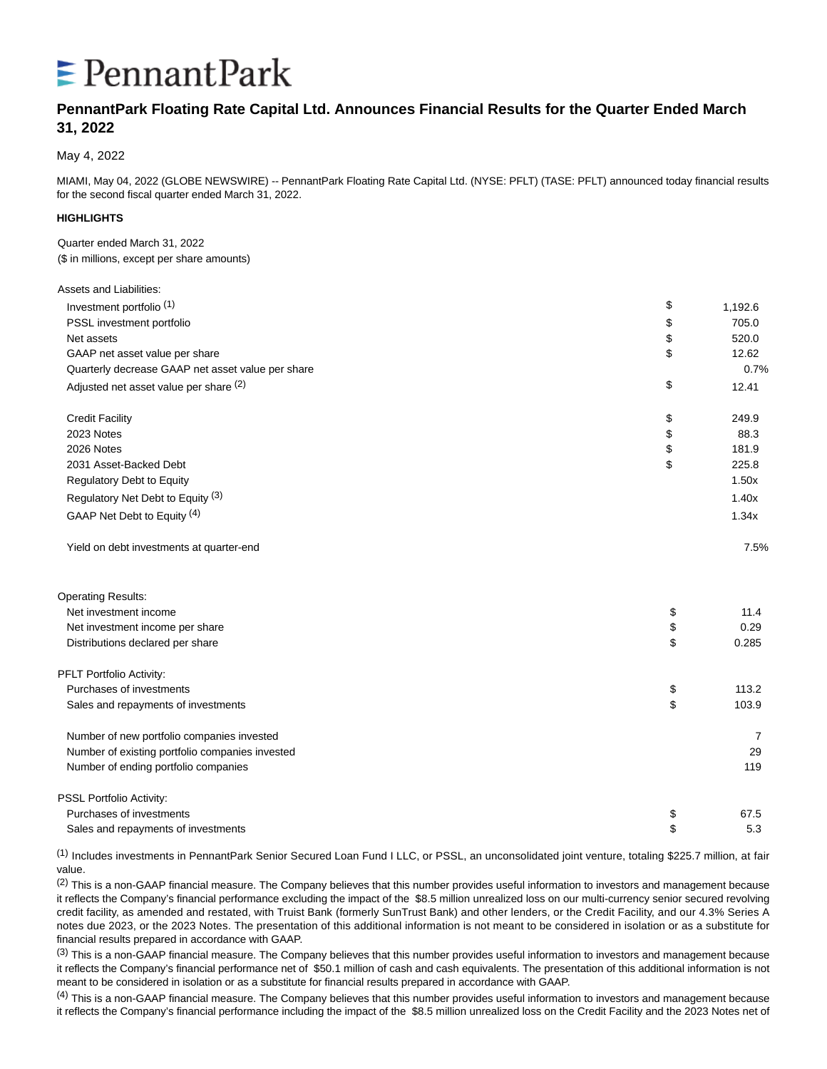# $\epsilon$  Pennant Park

# **PennantPark Floating Rate Capital Ltd. Announces Financial Results for the Quarter Ended March 31, 2022**

May 4, 2022

MIAMI, May 04, 2022 (GLOBE NEWSWIRE) -- PennantPark Floating Rate Capital Ltd. (NYSE: PFLT) (TASE: PFLT) announced today financial results for the second fiscal quarter ended March 31, 2022.

## **HIGHLIGHTS**

Assets and Liabilities:

Quarter ended March 31, 2022 (\$ in millions, except per share amounts)

| Investment portfolio <sup>(1)</sup>               | \$<br>1,192.6 |
|---------------------------------------------------|---------------|
| PSSL investment portfolio                         | \$<br>705.0   |
| Net assets                                        | \$<br>520.0   |
| GAAP net asset value per share                    | \$<br>12.62   |
| Quarterly decrease GAAP net asset value per share | 0.7%          |
| Adjusted net asset value per share (2)            | \$<br>12.41   |
| <b>Credit Facility</b>                            | \$<br>249.9   |
| 2023 Notes                                        | \$<br>88.3    |
| 2026 Notes                                        | \$<br>181.9   |
| 2031 Asset-Backed Debt                            | \$<br>225.8   |
| Regulatory Debt to Equity                         | 1.50x         |
| Regulatory Net Debt to Equity (3)                 | 1.40x         |
| GAAP Net Debt to Equity (4)                       | 1.34x         |
| Yield on debt investments at quarter-end          | 7.5%          |
| <b>Operating Results:</b>                         |               |
| Net investment income                             | \$<br>11.4    |
| Net investment income per share                   | \$<br>0.29    |
| Distributions declared per share                  | \$<br>0.285   |
| PFLT Portfolio Activity:                          |               |
| Purchases of investments                          | \$<br>113.2   |
| Sales and repayments of investments               | \$<br>103.9   |
| Number of new portfolio companies invested        | 7             |
| Number of existing portfolio companies invested   | 29            |
| Number of ending portfolio companies              | 119           |
| PSSL Portfolio Activity:                          |               |
| Purchases of investments                          | \$<br>67.5    |
| Sales and repayments of investments               | \$<br>5.3     |

(1) Includes investments in PennantPark Senior Secured Loan Fund I LLC, or PSSL, an unconsolidated joint venture, totaling \$225.7 million, at fair value.

(2) This is a non-GAAP financial measure. The Company believes that this number provides useful information to investors and management because it reflects the Company's financial performance excluding the impact of the \$8.5 million unrealized loss on our multi-currency senior secured revolving credit facility, as amended and restated, with Truist Bank (formerly SunTrust Bank) and other lenders, or the Credit Facility, and our 4.3% Series A notes due 2023, or the 2023 Notes. The presentation of this additional information is not meant to be considered in isolation or as a substitute for financial results prepared in accordance with GAAP.

(3) This is a non-GAAP financial measure. The Company believes that this number provides useful information to investors and management because it reflects the Company's financial performance net of \$50.1 million of cash and cash equivalents. The presentation of this additional information is not meant to be considered in isolation or as a substitute for financial results prepared in accordance with GAAP.

 $<sup>(4)</sup>$  This is a non-GAAP financial measure. The Company believes that this number provides useful information to investors and management because</sup> it reflects the Company's financial performance including the impact of the \$8.5 million unrealized loss on the Credit Facility and the 2023 Notes net of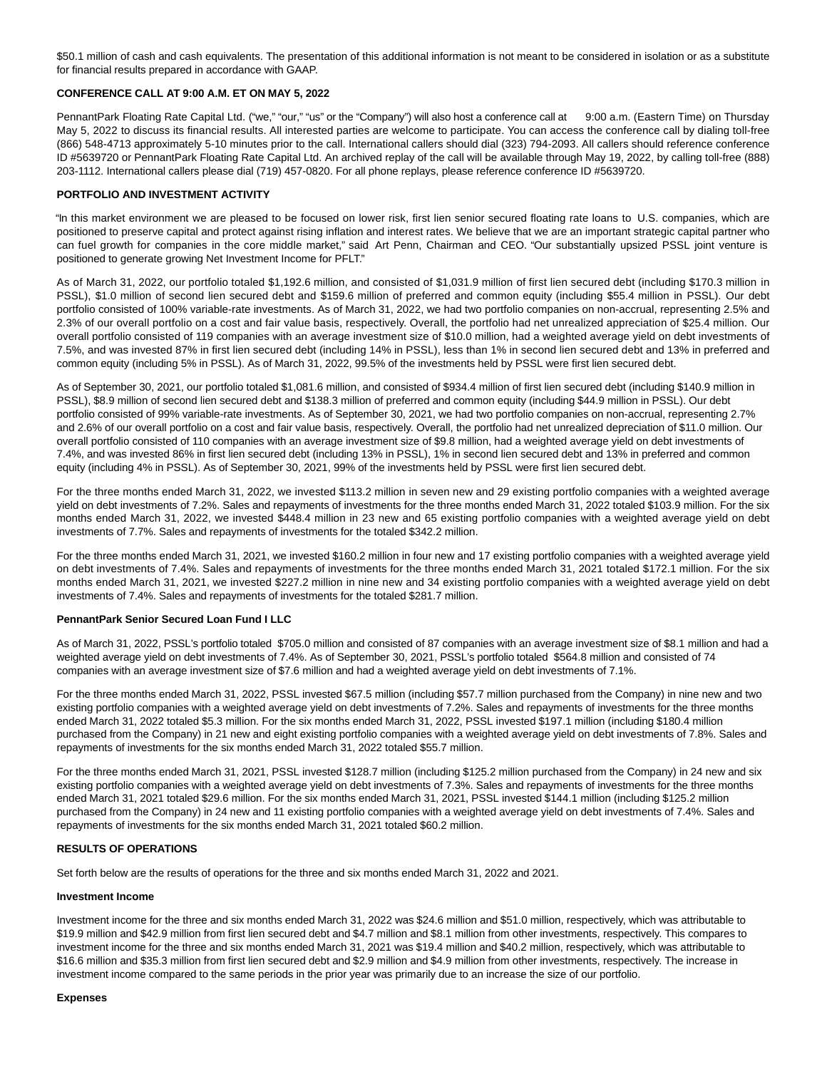\$50.1 million of cash and cash equivalents. The presentation of this additional information is not meant to be considered in isolation or as a substitute for financial results prepared in accordance with GAAP.

#### **CONFERENCE CALL AT 9:00 A.M. ET ON MAY 5, 2022**

PennantPark Floating Rate Capital Ltd. ("we," "our," "us" or the "Company") will also host a conference call at 9:00 a.m. (Eastern Time) on Thursday May 5, 2022 to discuss its financial results. All interested parties are welcome to participate. You can access the conference call by dialing toll-free (866) 548-4713 approximately 5-10 minutes prior to the call. International callers should dial (323) 794-2093. All callers should reference conference ID #5639720 or PennantPark Floating Rate Capital Ltd. An archived replay of the call will be available through May 19, 2022, by calling toll-free (888) 203-1112. International callers please dial (719) 457-0820. For all phone replays, please reference conference ID #5639720.

#### **PORTFOLIO AND INVESTMENT ACTIVITY**

"In this market environment we are pleased to be focused on lower risk, first lien senior secured floating rate loans to U.S. companies, which are positioned to preserve capital and protect against rising inflation and interest rates. We believe that we are an important strategic capital partner who can fuel growth for companies in the core middle market," said Art Penn, Chairman and CEO. "Our substantially upsized PSSL joint venture is positioned to generate growing Net Investment Income for PFLT."

As of March 31, 2022, our portfolio totaled \$1,192.6 million, and consisted of \$1,031.9 million of first lien secured debt (including \$170.3 million in PSSL), \$1.0 million of second lien secured debt and \$159.6 million of preferred and common equity (including \$55.4 million in PSSL). Our debt portfolio consisted of 100% variable-rate investments. As of March 31, 2022, we had two portfolio companies on non-accrual, representing 2.5% and 2.3% of our overall portfolio on a cost and fair value basis, respectively. Overall, the portfolio had net unrealized appreciation of \$25.4 million. Our overall portfolio consisted of 119 companies with an average investment size of \$10.0 million, had a weighted average yield on debt investments of 7.5%, and was invested 87% in first lien secured debt (including 14% in PSSL), less than 1% in second lien secured debt and 13% in preferred and common equity (including 5% in PSSL). As of March 31, 2022, 99.5% of the investments held by PSSL were first lien secured debt.

As of September 30, 2021, our portfolio totaled \$1,081.6 million, and consisted of \$934.4 million of first lien secured debt (including \$140.9 million in PSSL), \$8.9 million of second lien secured debt and \$138.3 million of preferred and common equity (including \$44.9 million in PSSL). Our debt portfolio consisted of 99% variable-rate investments. As of September 30, 2021, we had two portfolio companies on non-accrual, representing 2.7% and 2.6% of our overall portfolio on a cost and fair value basis, respectively. Overall, the portfolio had net unrealized depreciation of \$11.0 million. Our overall portfolio consisted of 110 companies with an average investment size of \$9.8 million, had a weighted average yield on debt investments of 7.4%, and was invested 86% in first lien secured debt (including 13% in PSSL), 1% in second lien secured debt and 13% in preferred and common equity (including 4% in PSSL). As of September 30, 2021, 99% of the investments held by PSSL were first lien secured debt.

For the three months ended March 31, 2022, we invested \$113.2 million in seven new and 29 existing portfolio companies with a weighted average yield on debt investments of 7.2%. Sales and repayments of investments for the three months ended March 31, 2022 totaled \$103.9 million. For the six months ended March 31, 2022, we invested \$448.4 million in 23 new and 65 existing portfolio companies with a weighted average yield on debt investments of 7.7%. Sales and repayments of investments for the totaled \$342.2 million.

For the three months ended March 31, 2021, we invested \$160.2 million in four new and 17 existing portfolio companies with a weighted average yield on debt investments of 7.4%. Sales and repayments of investments for the three months ended March 31, 2021 totaled \$172.1 million. For the six months ended March 31, 2021, we invested \$227.2 million in nine new and 34 existing portfolio companies with a weighted average yield on debt investments of 7.4%. Sales and repayments of investments for the totaled \$281.7 million.

#### **PennantPark Senior Secured Loan Fund I LLC**

As of March 31, 2022, PSSL's portfolio totaled \$705.0 million and consisted of 87 companies with an average investment size of \$8.1 million and had a weighted average yield on debt investments of 7.4%. As of September 30, 2021, PSSL's portfolio totaled \$564.8 million and consisted of 74 companies with an average investment size of \$7.6 million and had a weighted average yield on debt investments of 7.1%.

For the three months ended March 31, 2022, PSSL invested \$67.5 million (including \$57.7 million purchased from the Company) in nine new and two existing portfolio companies with a weighted average yield on debt investments of 7.2%. Sales and repayments of investments for the three months ended March 31, 2022 totaled \$5.3 million. For the six months ended March 31, 2022, PSSL invested \$197.1 million (including \$180.4 million purchased from the Company) in 21 new and eight existing portfolio companies with a weighted average yield on debt investments of 7.8%. Sales and repayments of investments for the six months ended March 31, 2022 totaled \$55.7 million.

For the three months ended March 31, 2021, PSSL invested \$128.7 million (including \$125.2 million purchased from the Company) in 24 new and six existing portfolio companies with a weighted average yield on debt investments of 7.3%. Sales and repayments of investments for the three months ended March 31, 2021 totaled \$29.6 million. For the six months ended March 31, 2021, PSSL invested \$144.1 million (including \$125.2 million purchased from the Company) in 24 new and 11 existing portfolio companies with a weighted average yield on debt investments of 7.4%. Sales and repayments of investments for the six months ended March 31, 2021 totaled \$60.2 million.

#### **RESULTS OF OPERATIONS**

Set forth below are the results of operations for the three and six months ended March 31, 2022 and 2021.

#### **Investment Income**

Investment income for the three and six months ended March 31, 2022 was \$24.6 million and \$51.0 million, respectively, which was attributable to \$19.9 million and \$42.9 million from first lien secured debt and \$4.7 million and \$8.1 million from other investments, respectively. This compares to investment income for the three and six months ended March 31, 2021 was \$19.4 million and \$40.2 million, respectively, which was attributable to \$16.6 million and \$35.3 million from first lien secured debt and \$2.9 million and \$4.9 million from other investments, respectively. The increase in investment income compared to the same periods in the prior year was primarily due to an increase the size of our portfolio.

#### **Expenses**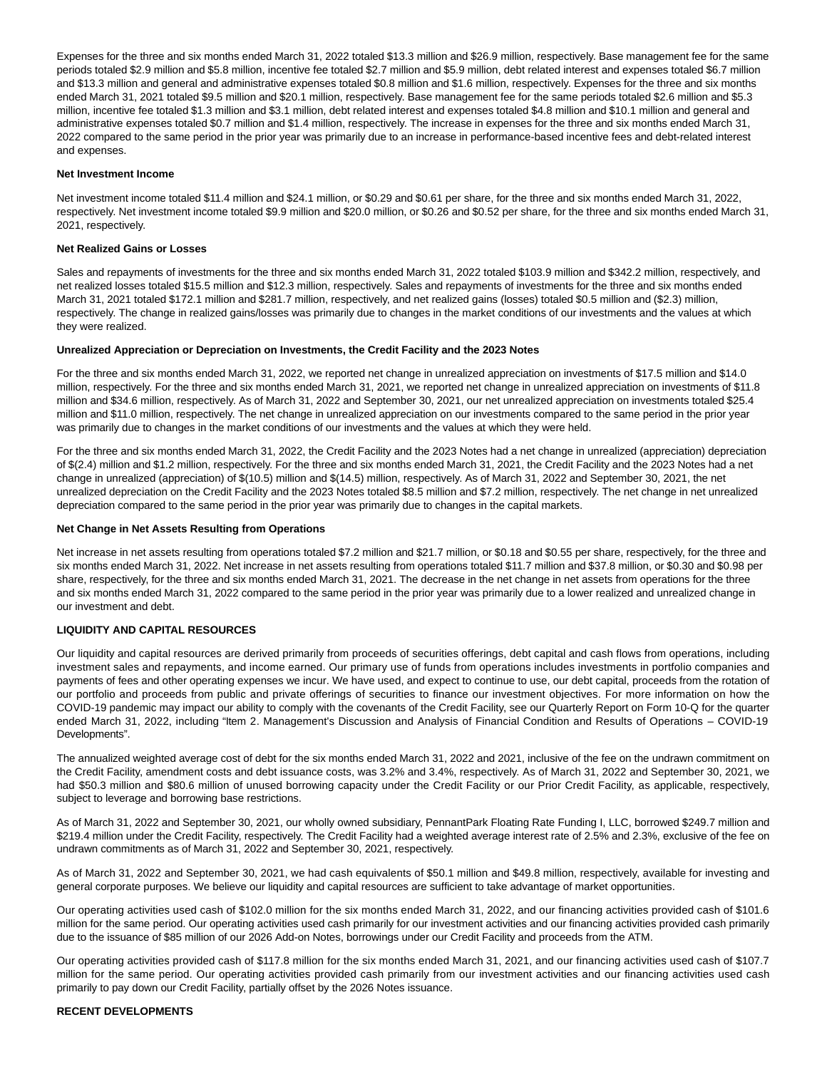Expenses for the three and six months ended March 31, 2022 totaled \$13.3 million and \$26.9 million, respectively. Base management fee for the same periods totaled \$2.9 million and \$5.8 million, incentive fee totaled \$2.7 million and \$5.9 million, debt related interest and expenses totaled \$6.7 million and \$13.3 million and general and administrative expenses totaled \$0.8 million and \$1.6 million, respectively. Expenses for the three and six months ended March 31, 2021 totaled \$9.5 million and \$20.1 million, respectively. Base management fee for the same periods totaled \$2.6 million and \$5.3 million, incentive fee totaled \$1.3 million and \$3.1 million, debt related interest and expenses totaled \$4.8 million and \$10.1 million and general and administrative expenses totaled \$0.7 million and \$1.4 million, respectively. The increase in expenses for the three and six months ended March 31, 2022 compared to the same period in the prior year was primarily due to an increase in performance-based incentive fees and debt-related interest and expenses.

#### **Net Investment Income**

Net investment income totaled \$11.4 million and \$24.1 million, or \$0.29 and \$0.61 per share, for the three and six months ended March 31, 2022, respectively. Net investment income totaled \$9.9 million and \$20.0 million, or \$0.26 and \$0.52 per share, for the three and six months ended March 31, 2021, respectively.

#### **Net Realized Gains or Losses**

Sales and repayments of investments for the three and six months ended March 31, 2022 totaled \$103.9 million and \$342.2 million, respectively, and net realized losses totaled \$15.5 million and \$12.3 million, respectively. Sales and repayments of investments for the three and six months ended March 31, 2021 totaled \$172.1 million and \$281.7 million, respectively, and net realized gains (losses) totaled \$0.5 million and (\$2.3) million, respectively. The change in realized gains/losses was primarily due to changes in the market conditions of our investments and the values at which they were realized.

#### **Unrealized Appreciation or Depreciation on Investments, the Credit Facility and the 2023 Notes**

For the three and six months ended March 31, 2022, we reported net change in unrealized appreciation on investments of \$17.5 million and \$14.0 million, respectively. For the three and six months ended March 31, 2021, we reported net change in unrealized appreciation on investments of \$11.8 million and \$34.6 million, respectively. As of March 31, 2022 and September 30, 2021, our net unrealized appreciation on investments totaled \$25.4 million and \$11.0 million, respectively. The net change in unrealized appreciation on our investments compared to the same period in the prior year was primarily due to changes in the market conditions of our investments and the values at which they were held.

For the three and six months ended March 31, 2022, the Credit Facility and the 2023 Notes had a net change in unrealized (appreciation) depreciation of \$(2.4) million and \$1.2 million, respectively. For the three and six months ended March 31, 2021, the Credit Facility and the 2023 Notes had a net change in unrealized (appreciation) of \$(10.5) million and \$(14.5) million, respectively. As of March 31, 2022 and September 30, 2021, the net unrealized depreciation on the Credit Facility and the 2023 Notes totaled \$8.5 million and \$7.2 million, respectively. The net change in net unrealized depreciation compared to the same period in the prior year was primarily due to changes in the capital markets.

#### **Net Change in Net Assets Resulting from Operations**

Net increase in net assets resulting from operations totaled \$7.2 million and \$21.7 million, or \$0.18 and \$0.55 per share, respectively, for the three and six months ended March 31, 2022. Net increase in net assets resulting from operations totaled \$11.7 million and \$37.8 million, or \$0.30 and \$0.98 per share, respectively, for the three and six months ended March 31, 2021. The decrease in the net change in net assets from operations for the three and six months ended March 31, 2022 compared to the same period in the prior year was primarily due to a lower realized and unrealized change in our investment and debt.

#### **LIQUIDITY AND CAPITAL RESOURCES**

Our liquidity and capital resources are derived primarily from proceeds of securities offerings, debt capital and cash flows from operations, including investment sales and repayments, and income earned. Our primary use of funds from operations includes investments in portfolio companies and payments of fees and other operating expenses we incur. We have used, and expect to continue to use, our debt capital, proceeds from the rotation of our portfolio and proceeds from public and private offerings of securities to finance our investment objectives. For more information on how the COVID-19 pandemic may impact our ability to comply with the covenants of the Credit Facility, see our Quarterly Report on Form 10-Q for the quarter ended March 31, 2022, including "Item 2. Management's Discussion and Analysis of Financial Condition and Results of Operations – COVID-19 Developments".

The annualized weighted average cost of debt for the six months ended March 31, 2022 and 2021, inclusive of the fee on the undrawn commitment on the Credit Facility, amendment costs and debt issuance costs, was 3.2% and 3.4%, respectively. As of March 31, 2022 and September 30, 2021, we had \$50.3 million and \$80.6 million of unused borrowing capacity under the Credit Facility or our Prior Credit Facility, as applicable, respectively, subject to leverage and borrowing base restrictions.

As of March 31, 2022 and September 30, 2021, our wholly owned subsidiary, PennantPark Floating Rate Funding I, LLC, borrowed \$249.7 million and \$219.4 million under the Credit Facility, respectively. The Credit Facility had a weighted average interest rate of 2.5% and 2.3%, exclusive of the fee on undrawn commitments as of March 31, 2022 and September 30, 2021, respectively.

As of March 31, 2022 and September 30, 2021, we had cash equivalents of \$50.1 million and \$49.8 million, respectively, available for investing and general corporate purposes. We believe our liquidity and capital resources are sufficient to take advantage of market opportunities.

Our operating activities used cash of \$102.0 million for the six months ended March 31, 2022, and our financing activities provided cash of \$101.6 million for the same period. Our operating activities used cash primarily for our investment activities and our financing activities provided cash primarily due to the issuance of \$85 million of our 2026 Add-on Notes, borrowings under our Credit Facility and proceeds from the ATM.

Our operating activities provided cash of \$117.8 million for the six months ended March 31, 2021, and our financing activities used cash of \$107.7 million for the same period. Our operating activities provided cash primarily from our investment activities and our financing activities used cash primarily to pay down our Credit Facility, partially offset by the 2026 Notes issuance.

#### **RECENT DEVELOPMENTS**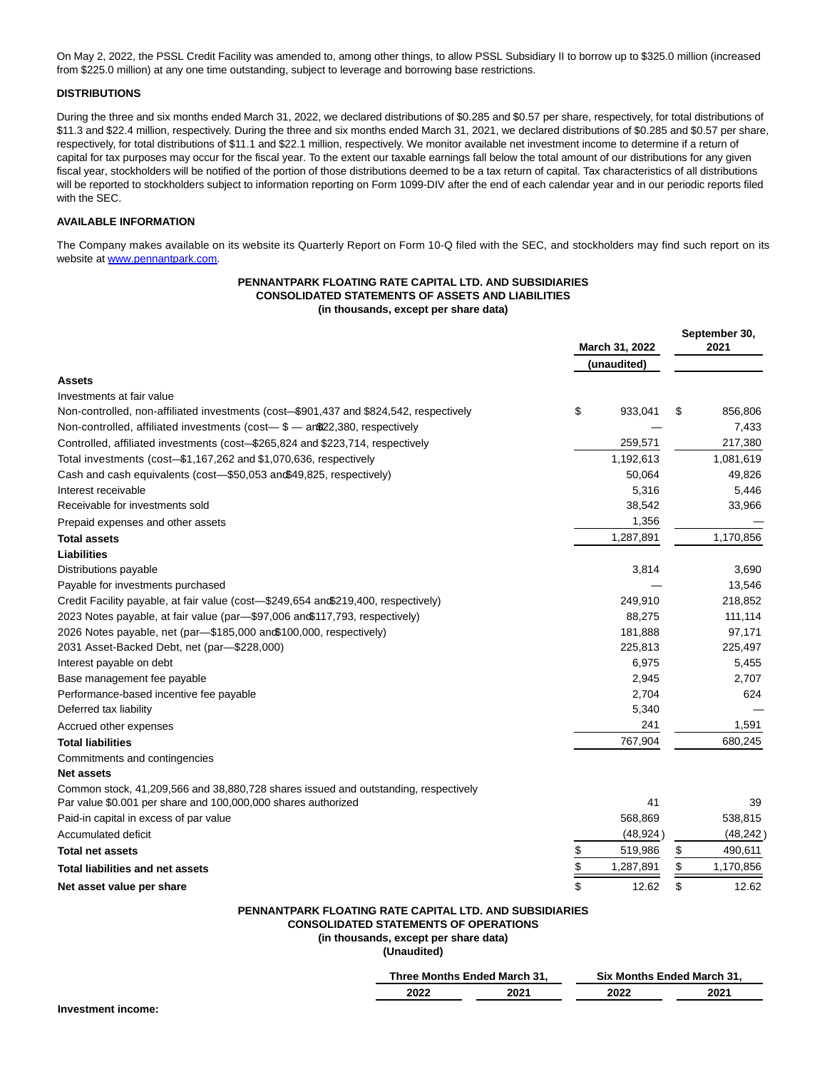On May 2, 2022, the PSSL Credit Facility was amended to, among other things, to allow PSSL Subsidiary II to borrow up to \$325.0 million (increased from \$225.0 million) at any one time outstanding, subject to leverage and borrowing base restrictions.

# **DISTRIBUTIONS**

During the three and six months ended March 31, 2022, we declared distributions of \$0.285 and \$0.57 per share, respectively, for total distributions of \$11.3 and \$22.4 million, respectively. During the three and six months ended March 31, 2021, we declared distributions of \$0.285 and \$0.57 per share, respectively, for total distributions of \$11.1 and \$22.1 million, respectively. We monitor available net investment income to determine if a return of capital for tax purposes may occur for the fiscal year. To the extent our taxable earnings fall below the total amount of our distributions for any given fiscal year, stockholders will be notified of the portion of those distributions deemed to be a tax return of capital. Tax characteristics of all distributions will be reported to stockholders subject to information reporting on Form 1099-DIV after the end of each calendar year and in our periodic reports filed with the SEC.

# **AVAILABLE INFORMATION**

The Company makes available on its website its Quarterly Report on Form 10-Q filed with the SEC, and stockholders may find such report on its website at www.pennantpark.com.

#### **PENNANTPARK FLOATING RATE CAPITAL LTD. AND SUBSIDIARIES CONSOLIDATED STATEMENTS OF ASSETS AND LIABILITIES (in thousands, except per share data)**

|                                                                                        | March 31, 2022 |           |    | September 30,<br>2021 |  |
|----------------------------------------------------------------------------------------|----------------|-----------|----|-----------------------|--|
|                                                                                        | (unaudited)    |           |    |                       |  |
| <b>Assets</b>                                                                          |                |           |    |                       |  |
| Investments at fair value                                                              |                |           |    |                       |  |
| Non-controlled, non-affiliated investments (cost-\$901,437 and \$824,542, respectively | \$             | 933,041   | \$ | 856,806               |  |
| Non-controlled, affiliated investments (cost-\$ - an\$22,380, respectively             |                |           |    | 7,433                 |  |
| Controlled, affiliated investments (cost-\$265,824 and \$223,714, respectively         |                | 259,571   |    | 217,380               |  |
| Total investments (cost-\$1,167,262 and \$1,070,636, respectively                      |                | 1,192,613 |    | 1,081,619             |  |
| Cash and cash equivalents (cost-\$50,053 and \$49,825, respectively)                   |                | 50,064    |    | 49,826                |  |
| Interest receivable                                                                    |                | 5,316     |    | 5,446                 |  |
| Receivable for investments sold                                                        |                | 38,542    |    | 33,966                |  |
| Prepaid expenses and other assets                                                      |                | 1,356     |    |                       |  |
| <b>Total assets</b>                                                                    |                | 1,287,891 |    | 1.170.856             |  |
| <b>Liabilities</b>                                                                     |                |           |    |                       |  |
| Distributions payable                                                                  |                | 3,814     |    | 3,690                 |  |
| Payable for investments purchased                                                      |                |           |    | 13,546                |  |
| Credit Facility payable, at fair value (cost-\$249,654 and\$219,400, respectively)     |                | 249,910   |    | 218,852               |  |
| 2023 Notes payable, at fair value (par-\$97,006 and \$117,793, respectively)           |                | 88,275    |    | 111,114               |  |
| 2026 Notes payable, net (par-\$185,000 and\$100,000, respectively)                     |                | 181,888   |    | 97,171                |  |
| 2031 Asset-Backed Debt, net (par-\$228,000)                                            |                | 225,813   |    | 225,497               |  |
| Interest payable on debt                                                               |                | 6,975     |    | 5,455                 |  |
| Base management fee payable                                                            |                | 2,945     |    | 2,707                 |  |
| Performance-based incentive fee payable                                                |                | 2,704     |    | 624                   |  |
| Deferred tax liability                                                                 |                | 5,340     |    |                       |  |
| Accrued other expenses                                                                 |                | 241       |    | 1,591                 |  |
| <b>Total liabilities</b>                                                               |                | 767,904   |    | 680,245               |  |
| Commitments and contingencies                                                          |                |           |    |                       |  |
| <b>Net assets</b>                                                                      |                |           |    |                       |  |
| Common stock, 41,209,566 and 38,880,728 shares issued and outstanding, respectively    |                |           |    |                       |  |
| Par value \$0.001 per share and 100,000,000 shares authorized                          |                | 41        |    | 39                    |  |
| Paid-in capital in excess of par value                                                 |                | 568,869   |    | 538,815               |  |
| Accumulated deficit                                                                    |                | (48, 924) |    | (48, 242)             |  |
| <b>Total net assets</b>                                                                | \$             | 519,986   | \$ | 490,611               |  |
| Total liabilities and net assets                                                       | \$             | 1,287,891 | \$ | 1,170,856             |  |
| Net asset value per share                                                              | \$             | 12.62     | \$ | 12.62                 |  |
| <b>PENNANTPARK FLOATING RATE CAPITAL LTD. AND SUBSIDIARIES</b>                         |                |           |    |                       |  |

**CONSOLIDATED STATEMENTS OF OPERATIONS**

**(in thousands, except per share data)**

**(Unaudited)**

|      | Three Months Ended March 31. | <b>Six Months Ended March 31.</b> |      |  |  |
|------|------------------------------|-----------------------------------|------|--|--|
| 2022 | 2021                         | 2022                              | 2021 |  |  |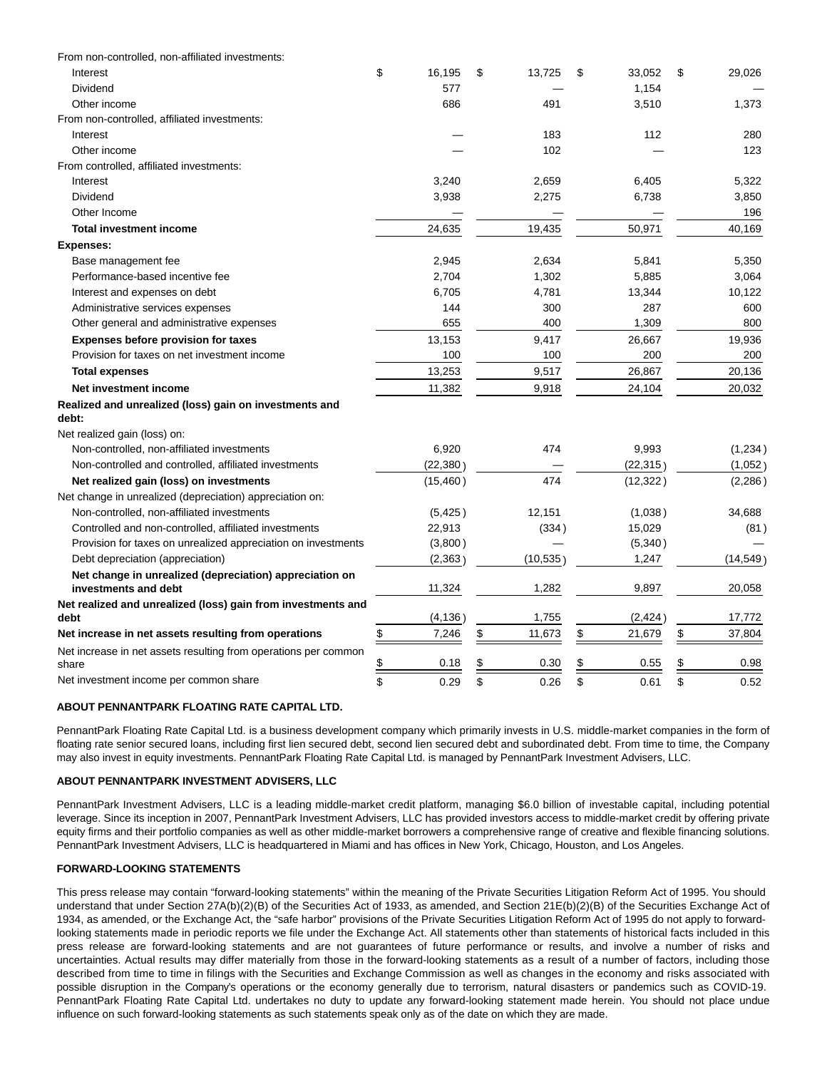| From non-controlled, non-affiliated investments:                                |              |    |          |              |              |
|---------------------------------------------------------------------------------|--------------|----|----------|--------------|--------------|
| Interest                                                                        | \$<br>16,195 | \$ | 13,725   | \$<br>33,052 | \$<br>29,026 |
| Dividend                                                                        | 577          |    |          | 1,154        |              |
| Other income                                                                    | 686          |    | 491      | 3,510        | 1,373        |
| From non-controlled, affiliated investments:                                    |              |    |          |              |              |
| Interest                                                                        |              |    | 183      | 112          | 280          |
| Other income                                                                    |              |    | 102      |              | 123          |
| From controlled, affiliated investments:                                        |              |    |          |              |              |
| Interest                                                                        | 3,240        |    | 2,659    | 6,405        | 5,322        |
| Dividend                                                                        | 3,938        |    | 2,275    | 6,738        | 3,850        |
| Other Income                                                                    |              |    |          |              | 196          |
| <b>Total investment income</b>                                                  | 24,635       |    | 19,435   | 50,971       | 40,169       |
| <b>Expenses:</b>                                                                |              |    |          |              |              |
| Base management fee                                                             | 2,945        |    | 2,634    | 5,841        | 5,350        |
| Performance-based incentive fee                                                 | 2,704        |    | 1,302    | 5,885        | 3,064        |
| Interest and expenses on debt                                                   | 6,705        |    | 4,781    | 13,344       | 10,122       |
| Administrative services expenses                                                | 144          |    | 300      | 287          | 600          |
| Other general and administrative expenses                                       | 655          |    | 400      | 1,309        | 800          |
| <b>Expenses before provision for taxes</b>                                      | 13,153       |    | 9,417    | 26,667       | 19,936       |
| Provision for taxes on net investment income                                    | 100          |    | 100      | 200          | 200          |
| <b>Total expenses</b>                                                           | 13,253       |    | 9,517    | 26,867       | 20,136       |
| Net investment income                                                           | 11,382       |    | 9,918    | 24,104       | 20,032       |
| Realized and unrealized (loss) gain on investments and<br>debt:                 |              |    |          |              |              |
| Net realized gain (loss) on:                                                    |              |    |          |              |              |
| Non-controlled, non-affiliated investments                                      | 6,920        |    | 474      | 9,993        | (1, 234)     |
| Non-controlled and controlled, affiliated investments                           | (22, 380)    |    |          | (22, 315)    | (1,052)      |
| Net realized gain (loss) on investments                                         | (15, 460)    |    | 474      | (12, 322)    | (2, 286)     |
| Net change in unrealized (depreciation) appreciation on:                        |              |    |          |              |              |
| Non-controlled, non-affiliated investments                                      | (5, 425)     |    | 12,151   | (1,038)      | 34,688       |
| Controlled and non-controlled, affiliated investments                           | 22,913       |    | (334)    | 15,029       | (81)         |
| Provision for taxes on unrealized appreciation on investments                   | (3,800)      |    |          | (5,340)      |              |
| Debt depreciation (appreciation)                                                | (2,363)      |    | (10,535) | 1,247        | (14, 549)    |
| Net change in unrealized (depreciation) appreciation on<br>investments and debt | 11,324       |    | 1,282    | 9,897        | 20,058       |
| Net realized and unrealized (loss) gain from investments and                    |              |    |          |              |              |
| debt                                                                            | (4, 136)     |    | 1,755    | (2, 424)     | 17,772       |
| Net increase in net assets resulting from operations                            | \$<br>7,246  | \$ | 11,673   | \$<br>21,679 | \$<br>37,804 |
| Net increase in net assets resulting from operations per common<br>share        | \$<br>0.18   | S  | 0.30     | \$<br>0.55   | \$<br>0.98   |
| Net investment income per common share                                          | \$<br>0.29   | \$ | 0.26     | \$<br>0.61   | \$<br>0.52   |

# **ABOUT PENNANTPARK FLOATING RATE CAPITAL LTD.**

PennantPark Floating Rate Capital Ltd. is a business development company which primarily invests in U.S. middle-market companies in the form of floating rate senior secured loans, including first lien secured debt, second lien secured debt and subordinated debt. From time to time, the Company may also invest in equity investments. PennantPark Floating Rate Capital Ltd. is managed by PennantPark Investment Advisers, LLC.

## **ABOUT PENNANTPARK INVESTMENT ADVISERS, LLC**

PennantPark Investment Advisers, LLC is a leading middle-market credit platform, managing \$6.0 billion of investable capital, including potential leverage. Since its inception in 2007, PennantPark Investment Advisers, LLC has provided investors access to middle-market credit by offering private equity firms and their portfolio companies as well as other middle-market borrowers a comprehensive range of creative and flexible financing solutions. PennantPark Investment Advisers, LLC is headquartered in Miami and has offices in New York, Chicago, Houston, and Los Angeles.

#### **FORWARD-LOOKING STATEMENTS**

This press release may contain "forward-looking statements" within the meaning of the Private Securities Litigation Reform Act of 1995. You should understand that under Section 27A(b)(2)(B) of the Securities Act of 1933, as amended, and Section 21E(b)(2)(B) of the Securities Exchange Act of 1934, as amended, or the Exchange Act, the "safe harbor" provisions of the Private Securities Litigation Reform Act of 1995 do not apply to forwardlooking statements made in periodic reports we file under the Exchange Act. All statements other than statements of historical facts included in this press release are forward-looking statements and are not guarantees of future performance or results, and involve a number of risks and uncertainties. Actual results may differ materially from those in the forward-looking statements as a result of a number of factors, including those described from time to time in filings with the Securities and Exchange Commission as well as changes in the economy and risks associated with possible disruption in the Company's operations or the economy generally due to terrorism, natural disasters or pandemics such as COVID-19. PennantPark Floating Rate Capital Ltd. undertakes no duty to update any forward-looking statement made herein. You should not place undue influence on such forward-looking statements as such statements speak only as of the date on which they are made.